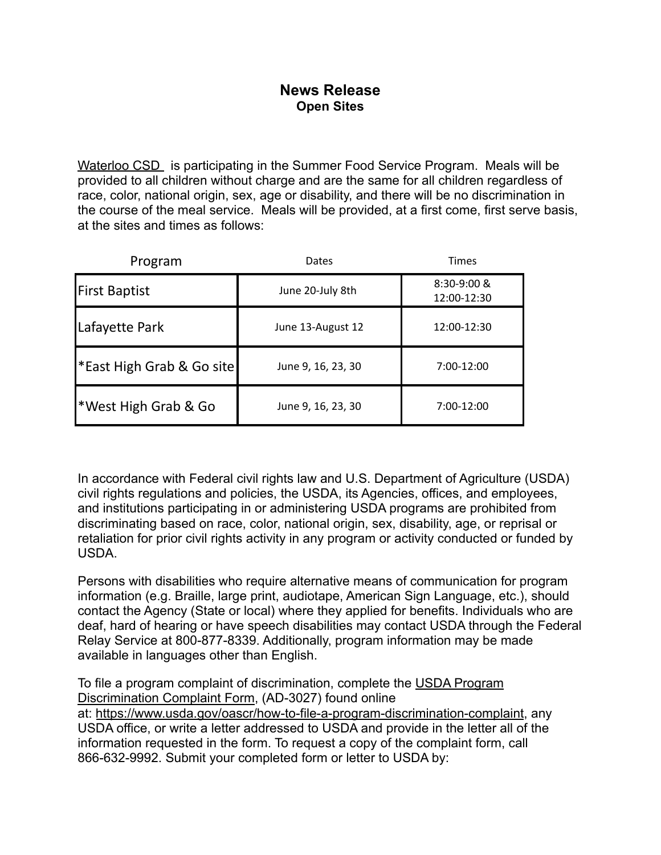## **News Release Open Sites**

Waterloo CSD is participating in the Summer Food Service Program. Meals will be provided to all children without charge and are the same for all children regardless of race, color, national origin, sex, age or disability, and there will be no discrimination in the course of the meal service. Meals will be provided, at a first come, first serve basis, at the sites and times as follows:

| Program                             | Dates              | <b>Times</b>                 |
|-------------------------------------|--------------------|------------------------------|
| <b>First Baptist</b>                | June 20-July 8th   | $8:30-9:00$ &<br>12:00-12:30 |
| Lafayette Park                      | June 13-August 12  | 12:00-12:30                  |
| <b>East High Grab &amp; Go site</b> | June 9, 16, 23, 30 | $7:00-12:00$                 |
| <b>*West High Grab &amp; Go</b>     | June 9, 16, 23, 30 | $7:00-12:00$                 |

In accordance with Federal civil rights law and U.S. Department of Agriculture (USDA) civil rights regulations and policies, the USDA, its Agencies, offices, and employees, and institutions participating in or administering USDA programs are prohibited from discriminating based on race, color, national origin, sex, disability, age, or reprisal or retaliation for prior civil rights activity in any program or activity conducted or funded by USDA.

Persons with disabilities who require alternative means of communication for program information (e.g. Braille, large print, audiotape, American Sign Language, etc.), should contact the Agency (State or local) where they applied for benefits. Individuals who are deaf, hard of hearing or have speech disabilities may contact USDA through the Federal Relay Service at 800-877-8339. Additionally, program information may be made available in languages other than English.

To file a program complaint of discrimination, complete the [USDA Program](https://www.usda.gov/sites/default/files/documents/USDA-OASCR%20P-Complaint-Form-0508-0002-508-11-28-17Fax2Mail.pdf) [Discrimination Complaint Form](https://www.usda.gov/sites/default/files/documents/USDA-OASCR%20P-Complaint-Form-0508-0002-508-11-28-17Fax2Mail.pdf), (AD-3027) found online at: <https://www.usda.gov/oascr/how-to-file-a-program-discrimination-complaint>, any USDA office, or write a letter addressed to USDA and provide in the letter all of the information requested in the form. To request a copy of the complaint form, call 866-632-9992. Submit your completed form or letter to USDA by: